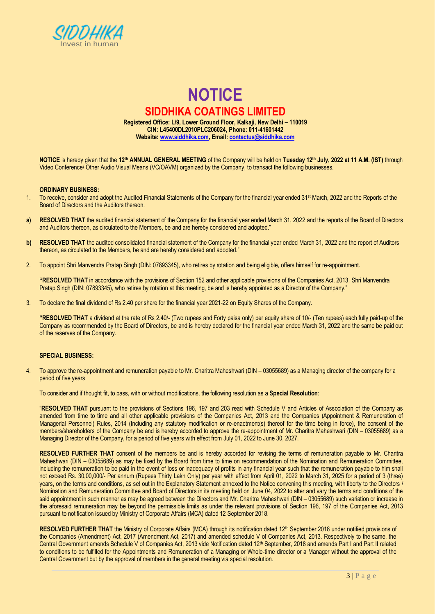

# **NOTICE SIDDHIKA COATINGS LIMITED Registered Office: L/9, Lower Ground Floor, Kalkaji, New Delhi – 110019 CIN: L45400DL2010PLC206024, Phone: 011-41601442**

**Website[: www.siddhika.com,](http://www.siddhika.com/) Email[: contactus@siddhika.com](mailto:contactus@siddhika.com)**

**NOTICE** is hereby given that the **12th ANNUAL GENERAL MEETING** of the Company will be held on **Tuesday 12th July, 2022 at 11 A.M. (IST)** through Video Conference/ Other Audio Visual Means (VC/OAVM) organized by the Company, to transact the following businesses.

#### **ORDINARY BUSINESS:**

- 1. To receive, consider and adopt the Audited Financial Statements of the Company for the financial year ended 31<sup>st</sup> March, 2022 and the Reports of the Board of Directors and the Auditors thereon.
- **a) RESOLVED THAT** the audited financial statement of the Company for the financial year ended March 31, 2022 and the reports of the Board of Directors and Auditors thereon, as circulated to the Members, be and are hereby considered and adopted."
- **b)** RESOLVED THAT the audited consolidated financial statement of the Company for the financial year ended March 31, 2022 and the report of Auditors thereon, as circulated to the Members, be and are hereby considered and adopted."
- 2. To appoint Shri Manvendra Pratap Singh (DIN: 07893345), who retires by rotation and being eligible, offers himself for re-appointment.

**"RESOLVED THAT** in accordance with the provisions of Section 152 and other applicable provisions of the Companies Act, 2013, Shri Manvendra Pratap Singh (DIN: 07893345), who retires by rotation at this meeting, be and is hereby appointed as a Director of the Company."

3. To declare the final dividend of Rs 2.40 per share for the financial year 2021-22 on Equity Shares of the Company.

**"RESOLVED THAT** a dividend at the rate of Rs 2.40/- (Two rupees and Forty paisa only) per equity share of 10/- (Ten rupees) each fully paid-up of the Company as recommended by the Board of Directors, be and is hereby declared for the financial year ended March 31, 2022 and the same be paid out of the reserves of the Company.

# **SPECIAL BUSINESS:**

4. To approve the re-appointment and remuneration payable to Mr. Charitra Maheshwari (DIN – 03055689) as a Managing director of the company for a period of five years

To consider and if thought fit, to pass, with or without modifications, the following resolution as a **Special Resolution**:

"**RESOLVED THAT** pursuant to the provisions of Sections 196, 197 and 203 read with Schedule V and Articles of Association of the Company as amended from time to time and all other applicable provisions of the Companies Act, 2013 and the Companies (Appointment & Remuneration of Managerial Personnel) Rules, 2014 (Including any statutory modification or re-enactment(s) thereof for the time being in force), the consent of the members/shareholders of the Company be and is hereby accorded to approve the re-appointment of Mr. Charitra Maheshwari (DIN – 03055689) as a Managing Director of the Company, for a period of five years with effect from July 01, 2022 to June 30, 2027.

**RESOLVED FURTHER THAT** consent of the members be and is hereby accorded for revising the terms of remuneration payable to Mr. Charitra Maheshwari (DIN – 03055689) as may be fixed by the Board from time to time on recommendation of the Nomination and Remuneration Committee, including the remuneration to be paid in the event of loss or inadequacy of profits in any financial year such that the remuneration payable to him shall not exceed Rs. 30,00,000/- Per annum (Rupees Thirty Lakh Only) per year with effect from April 01, 2022 to March 31, 2025 for a period of 3 (three) years, on the terms and conditions, as set out in the Explanatory Statement annexed to the Notice convening this meeting, with liberty to the Directors / Nomination and Remuneration Committee and Board of Directors in its meeting held on June 04, 2022 to alter and vary the terms and conditions of the said appointment in such manner as may be agreed between the Directors and Mr. Charitra Maheshwari (DIN – 03055689) such variation or increase in the aforesaid remuneration may be beyond the permissible limits as under the relevant provisions of Section 196, 197 of the Companies Act, 2013 pursuant to notification issued by Ministry of Corporate Affairs (MCA) dated 12 September 2018.

RESOLVED FURTHER THAT the Ministry of Corporate Affairs (MCA) through its notification dated 12<sup>th</sup> September 2018 under notified provisions of the Companies (Amendment) Act, 2017 (Amendment Act, 2017) and amended schedule V of Companies Act, 2013. Respectively to the same, the Central Government amends Schedule V of Companies Act, 2013 vide Notification dated 12<sup>th</sup> September, 2018 and amends Part I and Part II related to conditions to be fulfilled for the Appointments and Remuneration of a Managing or Whole-time director or a Manager without the approval of the Central Government but by the approval of members in the general meeting via special resolution.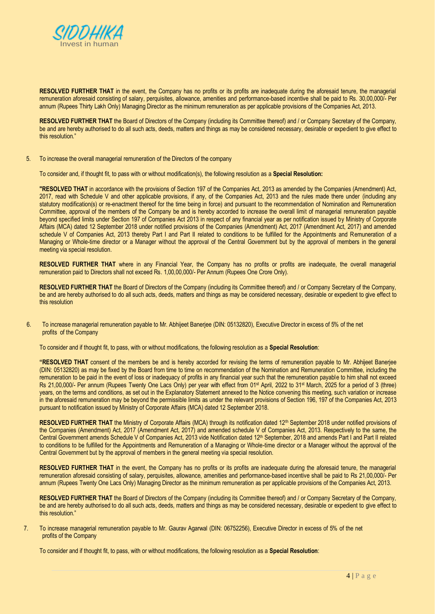

**RESOLVED FURTHER THAT** in the event, the Company has no profits or its profits are inadequate during the aforesaid tenure, the managerial remuneration aforesaid consisting of salary, perquisites, allowance, amenities and performance-based incentive shall be paid to Rs. 30,00,000/- Per annum (Rupees Thirty Lakh Only) Managing Director as the minimum remuneration as per applicable provisions of the Companies Act, 2013.

**RESOLVED FURTHER THAT** the Board of Directors of the Company (including its Committee thereof) and / or Company Secretary of the Company, be and are hereby authorised to do all such acts, deeds, matters and things as may be considered necessary, desirable or expedient to give effect to this resolution."

5. To increase the overall managerial remuneration of the Directors of the company

To consider and, if thought fit, to pass with or without modification(s), the following resolution as a **Special Resolution:**

**"RESOLVED THAT** in accordance with the provisions of Section 197 of the Companies Act, 2013 as amended by the Companies (Amendment) Act, 2017, read with Schedule V and other applicable provisions, if any, of the Companies Act, 2013 and the rules made there under (including any statutory modification(s) or re-enactment thereof for the time being in force) and pursuant to the recommendation of Nomination and Remuneration Committee, approval of the members of the Company be and is hereby accorded to increase the overall limit of managerial remuneration payable beyond specified limits under Section 197 of Companies Act 2013 in respect of any financial year as per notification issued by Ministry of Corporate Affairs (MCA) dated 12 September 2018 under notified provisions of the Companies (Amendment) Act, 2017 (Amendment Act, 2017) and amended schedule V of Companies Act, 2013 thereby Part I and Part II related to conditions to be fulfilled for the Appointments and Remuneration of a Managing or Whole-time director or a Manager without the approval of the Central Government but by the approval of members in the general meeting via special resolution.

**RESOLVED FURTHER THAT** where in any Financial Year, the Company has no profits or profits are inadequate, the overall managerial remuneration paid to Directors shall not exceed Rs. 1,00,00,000/- Per Annum (Rupees One Crore Only).

**RESOLVED FURTHER THAT** the Board of Directors of the Company (including its Committee thereof) and / or Company Secretary of the Company, be and are hereby authorised to do all such acts, deeds, matters and things as may be considered necessary, desirable or expedient to give effect to this resolution

6. To increase managerial remuneration payable to Mr. Abhijeet Banerjee (DIN: 05132820), Executive Director in excess of 5% of the net profits of the Company

To consider and if thought fit, to pass, with or without modifications, the following resolution as a **Special Resolution**:

**"RESOLVED THAT** consent of the members be and is hereby accorded for revising the terms of remuneration payable to Mr. Abhijeet Banerjee (DIN: 05132820) as may be fixed by the Board from time to time on recommendation of the Nomination and Remuneration Committee, including the remuneration to be paid in the event of loss or inadequacy of profits in any financial year such that the remuneration payable to him shall not exceed Rs 21,00,000/- Per annum (Rupees Twenty One Lacs Only) per year with effect from 01<sup>st</sup> April, 2022 to 31<sup>st</sup> March, 2025 for a period of 3 (three) years, on the terms and conditions, as set out in the Explanatory Statement annexed to the Notice convening this meeting, such variation or increase in the aforesaid remuneration may be beyond the permissible limits as under the relevant provisions of Section 196, 197 of the Companies Act, 2013 pursuant to notification issued by Ministry of Corporate Affairs (MCA) dated 12 September 2018.

RESOLVED FURTHER THAT the Ministry of Corporate Affairs (MCA) through its notification dated 12<sup>th</sup> September 2018 under notified provisions of the Companies (Amendment) Act, 2017 (Amendment Act, 2017) and amended schedule V of Companies Act, 2013. Respectively to the same, the Central Government amends Schedule V of Companies Act, 2013 vide Notification dated 12<sup>th</sup> September, 2018 and amends Part I and Part II related to conditions to be fulfilled for the Appointments and Remuneration of a Managing or Whole-time director or a Manager without the approval of the Central Government but by the approval of members in the general meeting via special resolution.

**RESOLVED FURTHER THAT** in the event, the Company has no profits or its profits are inadequate during the aforesaid tenure, the managerial remuneration aforesaid consisting of salary, perquisites, allowance, amenities and performance-based incentive shall be paid to Rs 21,00,000/- Per annum (Rupees Twenty One Lacs Only) Managing Director as the minimum remuneration as per applicable provisions of the Companies Act, 2013.

RESOLVED FURTHER THAT the Board of Directors of the Company (including its Committee thereof) and / or Company Secretary of the Company, be and are hereby authorised to do all such acts, deeds, matters and things as may be considered necessary, desirable or expedient to give effect to this resolution."

7. To increase managerial remuneration payable to Mr. Gaurav Agarwal (DIN: 06752256), Executive Director in excess of 5% of the net profits of the Company

To consider and if thought fit, to pass, with or without modifications, the following resolution as a **Special Resolution**: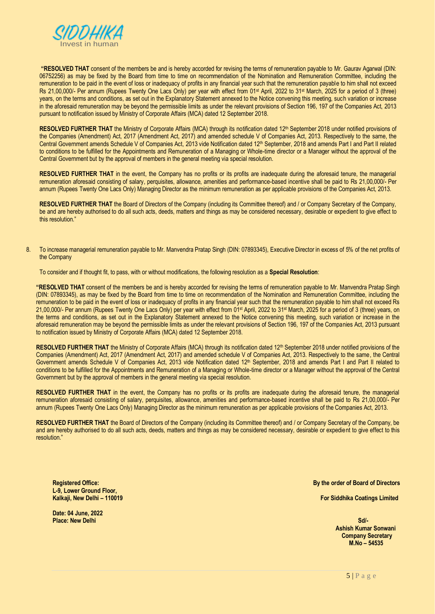

**"RESOLVED THAT** consent of the members be and is hereby accorded for revising the terms of remuneration payable to Mr. Gaurav Agarwal (DIN: 06752256) as may be fixed by the Board from time to time on recommendation of the Nomination and Remuneration Committee, including the remuneration to be paid in the event of loss or inadequacy of profits in any financial year such that the remuneration payable to him shall not exceed Rs 21,00,000/- Per annum (Rupees Twenty One Lacs Only) per year with effect from 01st April, 2022 to 31st March, 2025 for a period of 3 (three) years, on the terms and conditions, as set out in the Explanatory Statement annexed to the Notice convening this meeting, such variation or increase in the aforesaid remuneration may be beyond the permissible limits as under the relevant provisions of Section 196, 197 of the Companies Act, 2013 pursuant to notification issued by Ministry of Corporate Affairs (MCA) dated 12 September 2018.

RESOLVED FURTHER THAT the Ministry of Corporate Affairs (MCA) through its notification dated 12<sup>th</sup> September 2018 under notified provisions of the Companies (Amendment) Act, 2017 (Amendment Act, 2017) and amended schedule V of Companies Act, 2013. Respectively to the same, the Central Government amends Schedule V of Companies Act, 2013 vide Notification dated 12th September, 2018 and amends Part I and Part II related to conditions to be fulfilled for the Appointments and Remuneration of a Managing or Whole-time director or a Manager without the approval of the Central Government but by the approval of members in the general meeting via special resolution.

**RESOLVED FURTHER THAT** in the event, the Company has no profits or its profits are inadequate during the aforesaid tenure, the managerial remuneration aforesaid consisting of salary, perquisites, allowance, amenities and performance-based incentive shall be paid to Rs 21,00,000/- Per annum (Rupees Twenty One Lacs Only) Managing Director as the minimum remuneration as per applicable provisions of the Companies Act, 2013.

**RESOLVED FURTHER THAT** the Board of Directors of the Company (including its Committee thereof) and / or Company Secretary of the Company, be and are hereby authorised to do all such acts, deeds, matters and things as may be considered necessary, desirable or expedient to give effect to this resolution."

8. To increase managerial remuneration payable to Mr. Manvendra Pratap Singh (DIN: 07893345), Executive Director in excess of 5% of the net profits of the Company

To consider and if thought fit, to pass, with or without modifications, the following resolution as a **Special Resolution**:

**"RESOLVED THAT** consent of the members be and is hereby accorded for revising the terms of remuneration payable to Mr. Manvendra Pratap Singh (DIN: 07893345), as may be fixed by the Board from time to time on recommendation of the Nomination and Remuneration Committee, including the remuneration to be paid in the event of loss or inadequacy of profits in any financial year such that the remuneration payable to him shall not exceed Rs 21,00,000/- Per annum (Rupees Twenty One Lacs Only) per year with effect from 01<sup>st</sup> April, 2022 to 31<sup>st</sup> March, 2025 for a period of 3 (three) years, on the terms and conditions, as set out in the Explanatory Statement annexed to the Notice convening this meeting, such variation or increase in the aforesaid remuneration may be beyond the permissible limits as under the relevant provisions of Section 196, 197 of the Companies Act, 2013 pursuant to notification issued by Ministry of Corporate Affairs (MCA) dated 12 September 2018.

RESOLVED FURTHER THAT the Ministry of Corporate Affairs (MCA) through its notification dated 12<sup>th</sup> September 2018 under notified provisions of the Companies (Amendment) Act, 2017 (Amendment Act, 2017) and amended schedule V of Companies Act, 2013. Respectively to the same, the Central Government amends Schedule V of Companies Act, 2013 vide Notification dated 12<sup>th</sup> September, 2018 and amends Part I and Part II related to conditions to be fulfilled for the Appointments and Remuneration of a Managing or Whole-time director or a Manager without the approval of the Central Government but by the approval of members in the general meeting via special resolution.

**RESOLVED FURTHER THAT** in the event, the Company has no profits or its profits are inadequate during the aforesaid tenure, the managerial remuneration aforesaid consisting of salary, perquisites, allowance, amenities and performance-based incentive shall be paid to Rs 21,00,000/- Per annum (Rupees Twenty One Lacs Only) Managing Director as the minimum remuneration as per applicable provisions of the Companies Act, 2013.

RESOLVED FURTHER THAT the Board of Directors of the Company (including its Committee thereof) and / or Company Secretary of the Company, be and are hereby authorised to do all such acts, deeds, matters and things as may be considered necessary, desirable or expedient to give effect to this resolution."

**Registered Office: L-9, Lower Ground Floor, Kalkaji, New Delhi – 110019**  **By the order of Board of Directors**

 **For Siddhika Coatings Limited**

**Date: 04 June, 2022 Place: New Delhi**

**Sd/-** Samuel Communication of the Communication of the State State State State State State State State State State State State State State State State State State State State State State State State State State State Stat  **Ashish Kumar Sonwani Company Secretary M.No – 54535**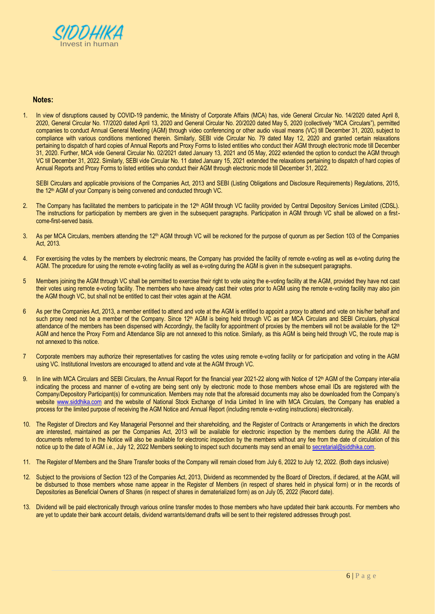

# **Notes:**

1. In view of disruptions caused by COVID-19 pandemic, the Ministry of Corporate Affairs (MCA) has, vide General Circular No. 14/2020 dated April 8, 2020, General Circular No. 17/2020 dated April 13, 2020 and General Circular No. 20/2020 dated May 5, 2020 (collectively "MCA Circulars"), permitted companies to conduct Annual General Meeting (AGM) through video conferencing or other audio visual means (VC) till December 31, 2020, subject to compliance with various conditions mentioned therein. Similarly, SEBI vide Circular No. 79 dated May 12, 2020 and granted certain relaxations pertaining to dispatch of hard copies of Annual Reports and Proxy Forms to listed entities who conduct their AGM through electronic mode till December 31, 2020. Further, MCA vide General Circular No. 02/2021 dated January 13, 2021 and 05 May, 2022 extended the option to conduct the AGM through VC till December 31, 2022. Similarly, SEBI vide Circular No. 11 dated January 15, 2021 extended the relaxations pertaining to dispatch of hard copies of Annual Reports and Proxy Forms to listed entities who conduct their AGM through electronic mode till December 31, 2022.

SEBI Circulars and applicable provisions of the Companies Act, 2013 and SEBI (Listing Obligations and Disclosure Requirements) Regulations, 2015, the 12<sup>th</sup> AGM of your Company is being convened and conducted through VC.

- 2. The Company has facilitated the members to participate in the 12<sup>th</sup> AGM through VC facility provided by Central Depository Services Limited (CDSL). The instructions for participation by members are given in the subsequent paragraphs. Participation in AGM through VC shall be allowed on a firstcome-first-served basis.
- 3. As per MCA Circulars, members attending the 12<sup>th</sup> AGM through VC will be reckoned for the purpose of quorum as per Section 103 of the Companies Act, 2013.
- 4. For exercising the votes by the members by electronic means, the Company has provided the facility of remote e-voting as well as e-voting during the AGM. The procedure for using the remote e-voting facility as well as e-voting during the AGM is given in the subsequent paragraphs.
- 5 Members joining the AGM through VC shall be permitted to exercise their right to vote using the e-voting facility at the AGM, provided they have not cast their votes using remote e-voting facility. The members who have already cast their votes prior to AGM using the remote e-voting facility may also join the AGM though VC, but shall not be entitled to cast their votes again at the AGM.
- 6 As per the Companies Act, 2013, a member entitled to attend and vote at the AGM is entitled to appoint a proxy to attend and vote on his/her behalf and such proxy need not be a member of the Company. Since 12<sup>th</sup> AGM is being held through VC as per MCA Circulars and SEBI Circulars, physical attendance of the members has been dispensed with Accordingly, the facility for appointment of proxies by the members will not be available for the 12<sup>th</sup> AGM and hence the Proxy Form and Attendance Slip are not annexed to this notice. Similarly, as this AGM is being held through VC, the route map is not annexed to this notice.
- 7 Corporate members may authorize their representatives for casting the votes using remote e-voting facility or for participation and voting in the AGM using VC. Institutional Investors are encouraged to attend and vote at the AGM through VC.
- 9. In line with MCA Circulars and SEBI Circulars, the Annual Report for the financial year 2021-22 along with Notice of 12<sup>th</sup> AGM of the Company inter-alia indicating the process and manner of e-voting are being sent only by electronic mode to those members whose email IDs are registered with the Company/Depository Participant(s) for communication. Members may note that the aforesaid documents may also be downloaded from the Company's website [www.siddhika.com](http://www.siddhika.com/) and the website of National Stock Exchange of India Limited In line with MCA Circulars, the Company has enabled a process for the limited purpose of receiving the AGM Notice and Annual Report (including remote e-voting instructions) electronically.
- 10. The Register of Directors and Key Managerial Personnel and their shareholding, and the Register of Contracts or Arrangements in which the directors are interested, maintained as per the Companies Act, 2013 will be available for electronic inspection by the members during the AGM. All the documents referred to in the Notice will also be available for electronic inspection by the members without any fee from the date of circulation of this notice up to the date of AGM i.e., July 12, 2022 Members seeking to inspect such documents may send an email t[o secretarial@siddhika.com.](mailto:secretarial@siddhika.com)
- 11. The Register of Members and the Share Transfer books of the Company will remain closed from July 6, 2022 to July 12, 2022. (Both days inclusive)
- 12. Subject to the provisions of Section 123 of the Companies Act, 2013, Dividend as recommended by the Board of Directors, if declared, at the AGM, will be disbursed to those members whose name appear in the Register of Members (in respect of shares held in physical form) or in the records of Depositories as Beneficial Owners of Shares (in respect of shares in dematerialized form) as on July 05, 2022 (Record date).
- 13. Dividend will be paid electronically through various online transfer modes to those members who have updated their bank accounts. For members who are yet to update their bank account details, dividend warrants/demand drafts will be sent to their registered addresses through post.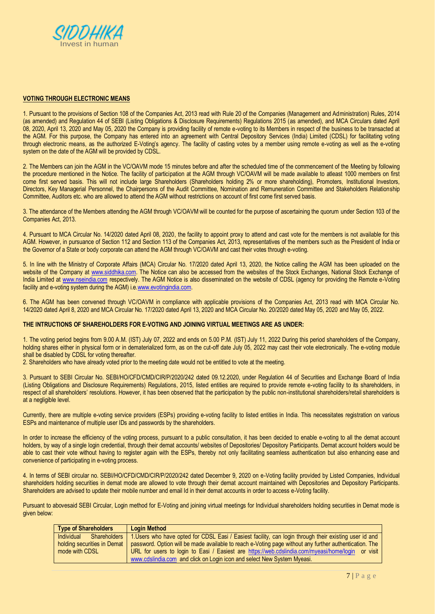

#### **VOTING THROUGH ELECTRONIC MEANS**

1. Pursuant to the provisions of Section 108 of the Companies Act, 2013 read with Rule 20 of the Companies (Management and Administration) Rules, 2014 (as amended) and Regulation 44 of SEBI (Listing Obligations & Disclosure Requirements) Regulations 2015 (as amended), and MCA Circulars dated April 08, 2020, April 13, 2020 and May 05, 2020 the Company is providing facility of remote e-voting to its Members in respect of the business to be transacted at the AGM. For this purpose, the Company has entered into an agreement with Central Depository Services (India) Limited (CDSL) for facilitating voting through electronic means, as the authorized E-Voting's agency. The facility of casting votes by a member using remote e-voting as well as the e-voting system on the date of the AGM will be provided by CDSL.

2. The Members can join the AGM in the VC/OAVM mode 15 minutes before and after the scheduled time of the commencement of the Meeting by following the procedure mentioned in the Notice. The facility of participation at the AGM through VC/OAVM will be made available to atleast 1000 members on first come first served basis. This will not include large Shareholders (Shareholders holding 2% or more shareholding), Promoters, Institutional Investors, Directors, Key Managerial Personnel, the Chairpersons of the Audit Committee, Nomination and Remuneration Committee and Stakeholders Relationship Committee, Auditors etc. who are allowed to attend the AGM without restrictions on account of first come first served basis.

3. The attendance of the Members attending the AGM through VC/OAVM will be counted for the purpose of ascertaining the quorum under Section 103 of the Companies Act, 2013.

4. Pursuant to MCA Circular No. 14/2020 dated April 08, 2020, the facility to appoint proxy to attend and cast vote for the members is not available for this AGM. However, in pursuance of Section 112 and Section 113 of the Companies Act, 2013, representatives of the members such as the President of India or the Governor of a State or body corporate can attend the AGM through VC/OAVM and cast their votes through e-voting.

5. In line with the Ministry of Corporate Affairs (MCA) Circular No. 17/2020 dated April 13, 2020, the Notice calling the AGM has been uploaded on the website of the Company at [www.siddhika.com.](http://www.siddhika.com/) The Notice can also be accessed from the websites of the Stock Exchanges, National Stock Exchange of India Limited at [www.nseindia.com](http://www.nseindia.com/) respectively. The AGM Notice is also disseminated on the website of CDSL (agency for providing the Remote e-Voting facility and e-voting system during the AGM) i.e.www.evotingindia.com.

6. The AGM has been convened through VC/OAVM in compliance with applicable provisions of the Companies Act, 2013 read with MCA Circular No. 14/2020 dated April 8, 2020 and MCA Circular No. 17/2020 dated April 13, 2020 and MCA Circular No. 20/2020 dated May 05, 2020 and May 05, 2022.

#### **THE INTRUCTIONS OF SHAREHOLDERS FOR E-VOTING AND JOINING VIRTUAL MEETINGS ARE AS UNDER:**

1. The voting period begins from 9.00 A.M. (IST) July 07, 2022 and ends on 5.00 P.M. (IST) July 11, 2022 During this period shareholders of the Company, holding shares either in physical form or in dematerialized form, as on the cut-off date July 05, 2022 may cast their vote electronically. The e-voting module shall be disabled by CDSL for voting thereafter.

2. Shareholders who have already voted prior to the meeting date would not be entitled to vote at the meeting.

3. Pursuant to SEBI Circular No. SEBI/HO/CFD/CMD/CIR/P/2020/242 dated 09.12.2020, under Regulation 44 of Securities and Exchange Board of India (Listing Obligations and Disclosure Requirements) Regulations, 2015, listed entities are required to provide remote e-voting facility to its shareholders, in respect of all shareholders' resolutions. However, it has been observed that the participation by the public non-institutional shareholders/retail shareholders is at a negligible level.

Currently, there are multiple e-voting service providers (ESPs) providing e-voting facility to listed entities in India. This necessitates registration on various ESPs and maintenance of multiple user IDs and passwords by the shareholders.

In order to increase the efficiency of the voting process, pursuant to a public consultation, it has been decided to enable e-voting to all the demat account holders, by way of a single login credential, through their demat accounts/ websites of Depositories/ Depository Participants. Demat account holders would be able to cast their vote without having to register again with the ESPs, thereby not only facilitating seamless authentication but also enhancing ease and convenience of participating in e-voting process.

4. In terms of SEBI circular no. SEBI/HO/CFD/CMD/CIR/P/2020/242 dated December 9, 2020 on e-Voting facility provided by Listed Companies, Individual shareholders holding securities in demat mode are allowed to vote through their demat account maintained with Depositories and Depository Participants. Shareholders are advised to update their mobile number and email Id in their demat accounts in order to access e-Voting facility.

Pursuant to abovesaid SEBI Circular, Login method for E-Voting and joining virtual meetings for Individual shareholders holding securities in Demat mode is given below:

| <b>Type of Shareholders</b> | <b>Login Method</b>                                                                                    |
|-----------------------------|--------------------------------------------------------------------------------------------------------|
| Shareholders<br>Individual  | 1. Users who have opted for CDSL Easi / Easiest facility, can login through their existing user id and |
| holding securities in Demat | password. Option will be made available to reach e-Voting page without any further authentication. The |
| mode with CDSL              | URL for users to login to Easi / Easiest are https://web.cdslindia.com/myeasi/home/login or visit      |
|                             | www.cdslindia.com and click on Login icon and select New System Myeasi.                                |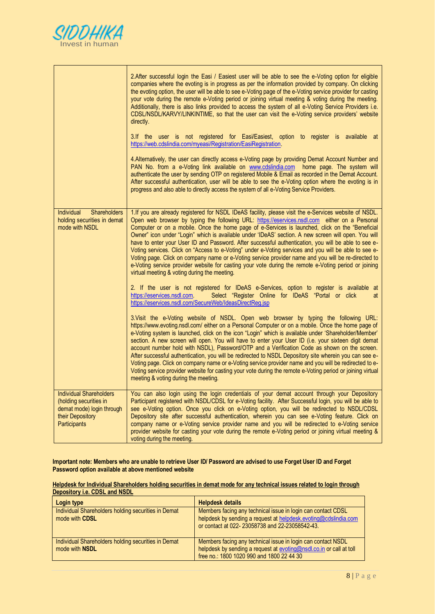

|                                                                                                                                  | 2. After successful login the Easi / Easiest user will be able to see the e-Voting option for eligible<br>companies where the evoting is in progress as per the information provided by company. On clicking<br>the evoting option, the user will be able to see e-Voting page of the e-Voting service provider for casting<br>your vote during the remote e-Voting period or joining virtual meeting & voting during the meeting.<br>Additionally, there is also links provided to access the system of all e-Voting Service Providers i.e.<br>CDSL/NSDL/KARVY/LINKINTIME, so that the user can visit the e-Voting service providers' website<br>directly.<br>3.If the user is not registered for Easi/Easiest, option to register is available at<br>https://web.cdslindia.com/myeasi/Registration/EasiRegistration.<br>4. Alternatively, the user can directly access e-Voting page by providing Demat Account Number and<br>PAN No. from a e-Voting link available on www.cdslindia.com home page. The system will<br>authenticate the user by sending OTP on registered Mobile & Email as recorded in the Demat Account.<br>After successful authentication, user will be able to see the e-Voting option where the evoting is in<br>progress and also able to directly access the system of all e-Voting Service Providers. |
|----------------------------------------------------------------------------------------------------------------------------------|-----------------------------------------------------------------------------------------------------------------------------------------------------------------------------------------------------------------------------------------------------------------------------------------------------------------------------------------------------------------------------------------------------------------------------------------------------------------------------------------------------------------------------------------------------------------------------------------------------------------------------------------------------------------------------------------------------------------------------------------------------------------------------------------------------------------------------------------------------------------------------------------------------------------------------------------------------------------------------------------------------------------------------------------------------------------------------------------------------------------------------------------------------------------------------------------------------------------------------------------------------------------------------------------------------------------------------------|
| <b>Individual</b><br><b>Shareholders</b><br>holding securities in demat<br>mode with NSDL                                        | 1. If you are already registered for NSDL IDeAS facility, please visit the e-Services website of NSDL.<br>Open web browser by typing the following URL: https://eservices.nsdl.com either on a Personal<br>Computer or on a mobile. Once the home page of e-Services is launched, click on the "Beneficial<br>Owner" icon under "Login" which is available under 'IDeAS' section. A new screen will open. You will<br>have to enter your User ID and Password. After successful authentication, you will be able to see e-<br>Voting services. Click on "Access to e-Voting" under e-Voting services and you will be able to see e-<br>Voting page. Click on company name or e-Voting service provider name and you will be re-directed to<br>e-Voting service provider website for casting your vote during the remote e-Voting period or joining<br>virtual meeting & voting during the meeting.<br>2. If the user is not registered for IDeAS e-Services, option to register is available at<br>Select "Register Online for IDeAS "Portal or click<br>https://eservices.nsdl.com<br>at                                                                                                                                                                                                                                         |
|                                                                                                                                  | https://eservices.nsdl.com/SecureWeb/IdeasDirectReg.jsp<br>3. Visit the e-Voting website of NSDL. Open web browser by typing the following URL:<br>https://www.evoting.nsdl.com/ either on a Personal Computer or on a mobile. Once the home page of<br>e-Voting system is launched, click on the icon "Login" which is available under 'Shareholder/Member'<br>section. A new screen will open. You will have to enter your User ID (i.e. your sixteen digit demat<br>account number hold with NSDL), Password/OTP and a Verification Code as shown on the screen.<br>After successful authentication, you will be redirected to NSDL Depository site wherein you can see e-<br>Voting page. Click on company name or e-Voting service provider name and you will be redirected to e-<br>Voting service provider website for casting your vote during the remote e-Voting period or joining virtual<br>meeting & voting during the meeting.                                                                                                                                                                                                                                                                                                                                                                                      |
| <b>Individual Shareholders</b><br>(holding securities in<br>demat mode) login through<br>their Depository<br><b>Participants</b> | You can also login using the login credentials of your demat account through your Depository<br>Participant registered with NSDL/CDSL for e-Voting facility. After Successful login, you will be able to<br>see e-Voting option. Once you click on e-Voting option, you will be redirected to NSDL/CDSL<br>Depository site after successful authentication, wherein you can see e-Voting feature. Click on<br>company name or e-Voting service provider name and you will be redirected to e-Voting service<br>provider website for casting your vote during the remote e-Voting period or joining virtual meeting &<br>voting during the meeting.                                                                                                                                                                                                                                                                                                                                                                                                                                                                                                                                                                                                                                                                                |

**Important note: Members who are unable to retrieve User ID/ Password are advised to use Forget User ID and Forget Password option available at above mentioned website**

**Helpdesk for Individual Shareholders holding securities in demat mode for any technical issues related to login through Depository i.e. CDSL and NSDL**

| Login type                                                                   | <b>Helpdesk details</b>                                                                                                                                                           |
|------------------------------------------------------------------------------|-----------------------------------------------------------------------------------------------------------------------------------------------------------------------------------|
| Individual Shareholders holding securities in Demat<br>mode with <b>CDSL</b> | Members facing any technical issue in login can contact CDSL<br>helpdesk by sending a request at helpdesk.evoting@cdslindia.com<br>or contact at 022-23058738 and 22-23058542-43. |
| Individual Shareholders holding securities in Demat<br>mode with NSDL        | Members facing any technical issue in login can contact NSDL<br>helpdesk by sending a request at evoting@nsdl.co.in or call at toll<br>free no.: 1800 1020 990 and 1800 22 44 30  |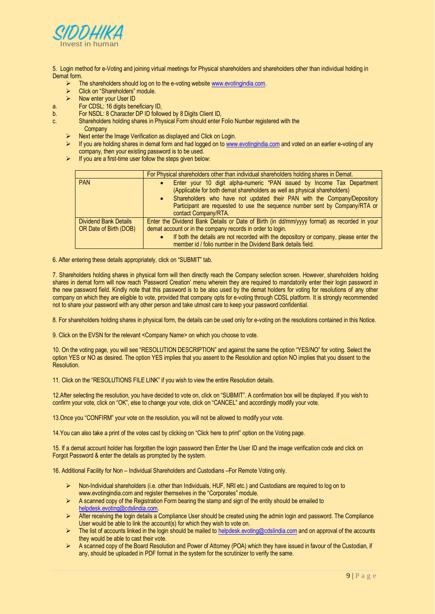

5. Login method for e-Voting and joining virtual meetings for Physical shareholders and shareholders other than individual holding in Demat form.

- The shareholders should log on to the e-voting websit[e www.evotingindia.com.](http://www.evotingindia.com/)<br>  $\triangleright$  Click on "Shareholders" module
- Click on "Shareholders" module.
- $\triangleright$  Now enter your User ID
- a. For CDSL: 16 digits beneficiary ID,
- b. For NSDL: 8 Character DP ID followed by 8 Digits Client ID,
- c. Shareholders holding shares in Physical Form should enter Folio Number registered with the Company
	- Next enter the Image Verification as displayed and Click on Login.
	- If you are holding shares in demat form and had logged on t[o www.evotingindia.com](http://www.evotingindia.com/) and voted on an earlier e-voting of any company, then your existing password is to be used.
	- $\triangleright$  If you are a first-time user follow the steps given below:

|                              | For Physical shareholders other than individual shareholders holding shares in Demat.       |  |  |
|------------------------------|---------------------------------------------------------------------------------------------|--|--|
| <b>PAN</b>                   | Enter your 10 digit alpha-numeric *PAN issued by Income Tax Department                      |  |  |
|                              | (Applicable for both demat shareholders as well as physical shareholders)                   |  |  |
|                              | • Shareholders who have not updated their PAN with the Company/Depository                   |  |  |
|                              | Participant are requested to use the sequence number sent by Company/RTA or                 |  |  |
|                              | contact Company/RTA.                                                                        |  |  |
| <b>Dividend Bank Details</b> | Enter the Dividend Bank Details or Date of Birth (in dd/mm/yyyy format) as recorded in your |  |  |
| OR Date of Birth (DOB)       | demat account or in the company records in order to login.                                  |  |  |
|                              | If both the details are not recorded with the depository or company, please enter the       |  |  |
|                              | member id / folio number in the Dividend Bank details field.                                |  |  |

6. After entering these details appropriately, click on "SUBMIT" tab.

7. Shareholders holding shares in physical form will then directly reach the Company selection screen. However, shareholders holding shares in demat form will now reach 'Password Creation' menu wherein they are required to mandatorily enter their login password in the new password field. Kindly note that this password is to be also used by the demat holders for voting for resolutions of any other company on which they are eligible to vote, provided that company opts for e-voting through CDSL platform. It is strongly recommended not to share your password with any other person and take utmost care to keep your password confidential.

8. For shareholders holding shares in physical form, the details can be used only for e-voting on the resolutions contained in this Notice.

9. Click on the EVSN for the relevant <Company Name> on which you choose to vote.

10. On the voting page, you will see "RESOLUTION DESCRIPTION" and against the same the option "YES/NO" for voting. Select the option YES or NO as desired. The option YES implies that you assent to the Resolution and option NO implies that you dissent to the Resolution.

11. Click on the "RESOLUTIONS FILE LINK" if you wish to view the entire Resolution details.

12.After selecting the resolution, you have decided to vote on, click on "SUBMIT". A confirmation box will be displayed. If you wish to confirm your vote, click on "OK", else to change your vote, click on "CANCEL" and accordingly modify your vote.

13.Once you "CONFIRM" your vote on the resolution, you will not be allowed to modify your vote.

14.You can also take a print of the votes cast by clicking on "Click here to print" option on the Voting page.

15. If a demat account holder has forgotten the login password then Enter the User ID and the image verification code and click on Forgot Password & enter the details as prompted by the system.

16. Additional Facility for Non – Individual Shareholders and Custodians –For Remote Voting only.

- Non-Individual shareholders (i.e. other than Individuals, HUF, NRI etc.) and Custodians are required to log on to www.evotingindia.com and register themselves in the "Corporates" module.
- $\triangleright$  A scanned copy of the Registration Form bearing the stamp and sign of the entity should be emailed to [helpdesk.evoting@cdslindia.com.](mailto:helpdesk.evoting@cdslindia.com)
- $\triangleright$  After receiving the login details a Compliance User should be created using the admin login and password. The Compliance User would be able to link the account(s) for which they wish to vote on.
- $\triangleright$  The list of accounts linked in the login should be mailed to [helpdesk.evoting@cdslindia.com](mailto:helpdesk.evoting@cdslindia.com) and on approval of the accounts they would be able to cast their vote.
- A scanned copy of the Board Resolution and Power of Attorney (POA) which they have issued in favour of the Custodian, if any, should be uploaded in PDF format in the system for the scrutinizer to verify the same.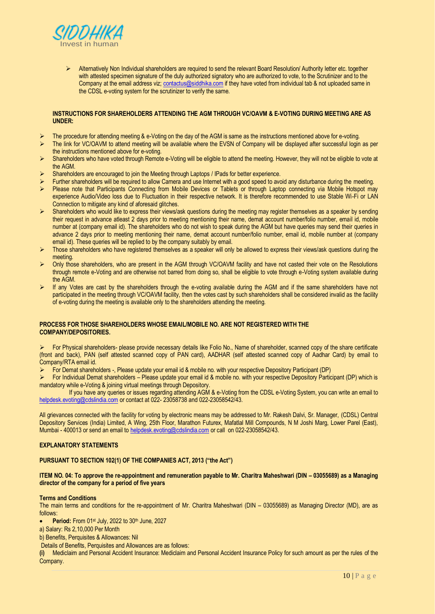

▶ Alternatively Non Individual shareholders are required to send the relevant Board Resolution/ Authority letter etc. together with attested specimen signature of the duly authorized signatory who are authorized to vote, to the Scrutinizer and to the Company at the email address viz[; contactus@siddhika.com](mailto:contactus@siddhika.com) if they have voted from individual tab & not uploaded same in the CDSL e-voting system for the scrutinizer to verify the same.

## **INSTRUCTIONS FOR SHAREHOLDERS ATTENDING THE AGM THROUGH VC/OAVM & E-VOTING DURING MEETING ARE AS UNDER:**

- The procedure for attending meeting & e-Voting on the day of the AGM is same as the instructions mentioned above for e-voting.
- $\triangleright$  The link for VC/OAVM to attend meeting will be available where the EVSN of Company will be displayed after successful login as per the instructions mentioned above for e-voting.
- ▶ Shareholders who have voted through Remote e-Voting will be eligible to attend the meeting. However, they will not be eligible to vote at the AGM.
- Shareholders are encouraged to join the Meeting through Laptops / IPads for better experience.
- Further shareholders will be required to allow Camera and use Internet with a good speed to avoid any disturbance during the meeting.<br>
Please note that Participants Connecting from Mobile Devices or Tablets or through Lan
- Please note that Participants Connecting from Mobile Devices or Tablets or through Laptop connecting via Mobile Hotspot may experience Audio/Video loss due to Fluctuation in their respective network. It is therefore recommended to use Stable Wi-Fi or LAN Connection to mitigate any kind of aforesaid glitches.
- $\triangleright$  Shareholders who would like to express their views/ask questions during the meeting may register themselves as a speaker by sending their request in advance atleast 2 days prior to meeting mentioning their name, demat account number/folio number, email id, mobile number at (company email id). The shareholders who do not wish to speak during the AGM but have queries may send their queries in advance 2 days prior to meeting mentioning their name, demat account number/folio number, email id, mobile number at (company email id). These queries will be replied to by the company suitably by email.
- Those shareholders who have registered themselves as a speaker will only be allowed to express their views/ask questions during the meeting.
- Only those shareholders, who are present in the AGM through VC/OAVM facility and have not casted their vote on the Resolutions through remote e-Voting and are otherwise not barred from doing so, shall be eligible to vote through e-Voting system available during the AGM.
- $\triangleright$  If any Votes are cast by the shareholders through the e-voting available during the AGM and if the same shareholders have not participated in the meeting through VC/OAVM facility, then the votes cast by such shareholders shall be considered invalid as the facility of e-voting during the meeting is available only to the shareholders attending the meeting.

## **PROCESS FOR THOSE SHAREHOLDERS WHOSE EMAIL/MOBILE NO. ARE NOT REGISTERED WITH THE COMPANY/DEPOSITORIES.**

For Physical shareholders- please provide necessary details like Folio No., Name of shareholder, scanned copy of the share certificate (front and back), PAN (self attested scanned copy of PAN card), AADHAR (self attested scanned copy of Aadhar Card) by email to Company/RTA email id.

- For Demat shareholders -, Please update your email id & mobile no. with your respective Depository Participant (DP)
- For Individual Demat shareholders Please update your email id & mobile no. with your respective Depository Participant (DP) which is mandatory while e-Voting & joining virtual meetings through Depository.

If you have any queries or issues regarding attending AGM & e-Voting from the CDSL e-Voting System, you can write an email to [helpdesk.evoting@cdslindia.com](mailto:helpdesk.evoting@cdslindia.com) or contact at 022-23058738 and 022-23058542/43.

All grievances connected with the facility for voting by electronic means may be addressed to Mr. Rakesh Dalvi, Sr. Manager, (CDSL) Central Depository Services (India) Limited, A Wing, 25th Floor, Marathon Futurex, Mafatlal Mill Compounds, N M Joshi Marg, Lower Parel (East), Mumbai - 400013 or send an email t[o helpdesk.evoting@cdslindia.com](mailto:helpdesk.evoting@cdslindia.com) or call on 022-23058542/43.

# **EXPLANATORY STATEMENTS**

## **PURSUANT TO SECTION 102(1) OF THE COMPANIES ACT, 2013 ("the Act")**

## **ITEM NO. 04: To approve the re-appointment and remuneration payable to Mr. Charitra Maheshwari (DIN – 03055689) as a Managing director of the company for a period of five years**

## **Terms and Conditions**

The main terms and conditions for the re-appointment of Mr. Charitra Maheshwari (DIN – 03055689) as Managing Director (MD), are as follows:

**Period:** From 01<sup>st</sup> July, 2022 to 30<sup>th</sup> June, 2027

a) Salary: Rs 2,10,000 Per Month

b) Benefits, Perquisites & Allowances: Nil

Details of Benefits, Perquisites and Allowances are as follows:

**(i)** Mediclaim and Personal Accident Insurance: Mediclaim and Personal Accident Insurance Policy for such amount as per the rules of the Company.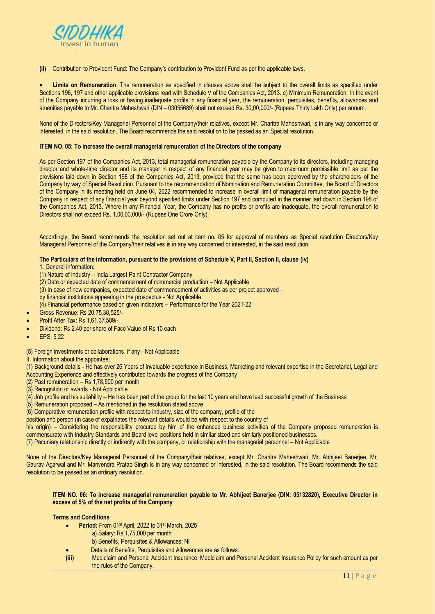

**(ii)** Contribution to Provident Fund: The Company's contribution to Provident Fund as per the applicable laws.

 **Limits on Remuneration**: The remuneration as specified in clauses above shall be subject to the overall limits as specified under Sections 196, 197 and other applicable provisions read with Schedule V of the Companies Act, 2013. e) Minimum Remuneration: In the event of the Company incurring a loss or having inadequate profits in any financial year, the remuneration, perquisites, benefits, allowances and amenities payable to Mr. Charitra Maheshwari (DIN – 03055689) shall not exceed Rs. 30,00,000/- (Rupees Thirty Lakh Only) per annum.

None of the Directors/Key Managerial Personnel of the Company/their relatives, except Mr. Charitra Maheshwari, is in any way concerned or interested, in the said resolution. The Board recommends the said resolution to be passed as an Special resolution.

#### **ITEM NO. 05: To increase the overall managerial remuneration of the Directors of the company**

As per Section 197 of the Companies Act, 2013, total managerial remuneration payable by the Company to its directors, including managing director and whole-time director and its manager in respect of any financial year may be given to maximum permissible limit as per the provisions laid down in Section 198 of the Companies Act, 2013, provided that the same has been approved by the shareholders of the Company by way of Special Resolution. Pursuant to the recommendation of Nomination and Remuneration Committee, the Board of Directors of the Company in its meeting held on June 04, 2022 recommended to increase in overall limit of managerial remuneration payable by the Company in respect of any financial year beyond specified limits under Section 197 and computed in the manner laid down in Section 198 of the Companies Act, 2013. Where in any Financial Year, the Company has no profits or profits are inadequate, the overall remuneration to Directors shall not exceed Rs. 1,00,00,000/- (Rupees One Crore Only).

Accordingly, the Board recommends the resolution set out at item no. 05 for approval of members as Special resolution Directors/Key Managerial Personnel of the Company/their relatives is in any way concerned or interested, in the said resolution.

## **The Particulars of the information, pursuant to the provisions of Schedule V, Part II, Section II, clause (iv)**

- 1. General information:
- (1) Nature of industry India Largest Paint Contractor Company
- (2) Date or expected date of commencement of commercial production Not Applicable
- (3) In case of new companies, expected date of commencement of activities as per project approved -
- by financial institutions appearing in the prospectus Not Applicable
- (4) Financial performance based on given indicators Performance for the Year 2021-22
- Gross Revenue: Rs 20,75,38,525/-
- Profit After Tax: Rs 1,61,37,509/-
- Dividend: Rs 2.40 per share of Face Value of Rs 10 each
- EPS: 5.22

(5) Foreign investments or collaborations, if any - Not Applicable

II. Information about the appointee:

(1) Background details - He has over 26 Years of invaluable experience in Business, Marketing and relevant expertise in the Secretarial, Legal and Accounting Experience and effectively contributed towards the progress of the Company

- (2) Past remuneration Rs 1,78,500 per month
- (3) Recognition or awards Not Applicable
- (4) Job profile and his suitability He has been part of the group for the last 10 years and have lead successful growth of the Business
- $(5)$  Remuneration proposed As mentioned in the resolution stated above

(6) Comparative remuneration profile with respect to industry, size of the company, profile of the

position and person (in case of expatriates the relevant details would be with respect to the country of

his origin) – Considering the responsibility procured by him of the enhanced business activities of the Company proposed remuneration is commensurate with Industry Standards and Board level positions held in similar sized and similarly positioned businesses.

(7) Pecuniary relationship directly or indirectly with the company, or relationship with the managerial personnel – Not Applicable

None of the Directors/Key Managerial Personnel of the Company/their relatives, except Mr. Charitra Maheshwari, Mr. Abhijeet Banerjee, Mr. Gaurav Agarwal and Mr. Manvendra Pratap Singh is in any way concerned or interested, in the said resolution. The Board recommends the said resolution to be passed as an ordinary resolution.

#### **ITEM NO. 06: To increase managerial remuneration payable to Mr. Abhijeet Banerjee (DIN: 05132820), Executive Director in excess of 5% of the net profits of the Company**

#### **Terms and Conditions**

- **Period:** From 01st April, 2022 to 31st March, 2025
	- a) Salary: Rs 1,75,000 per month
	- b) Benefits, Perquisites & Allowances: Nil
- Details of Benefits, Perquisites and Allowances are as follows:
- **(iii)** Mediclaim and Personal Accident Insurance: Mediclaim and Personal Accident Insurance Policy for such amount as per the rules of the Company.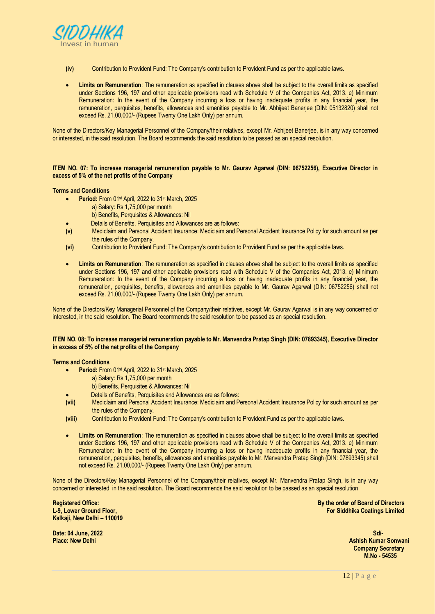

- **(iv)** Contribution to Provident Fund: The Company's contribution to Provident Fund as per the applicable laws.
- **Limits on Remuneration**: The remuneration as specified in clauses above shall be subject to the overall limits as specified under Sections 196, 197 and other applicable provisions read with Schedule V of the Companies Act, 2013. e) Minimum Remuneration: In the event of the Company incurring a loss or having inadequate profits in any financial year, the remuneration, perquisites, benefits, allowances and amenities payable to Mr. Abhijeet Banerjee (DIN: 05132820) shall not exceed Rs. 21,00,000/- (Rupees Twenty One Lakh Only) per annum.

None of the Directors/Key Managerial Personnel of the Company/their relatives, except Mr. Abhijeet Banerjee, is in any way concerned or interested, in the said resolution. The Board recommends the said resolution to be passed as an special resolution.

**ITEM NO. 07: To increase managerial remuneration payable to Mr. Gaurav Agarwal (DIN: 06752256), Executive Director in excess of 5% of the net profits of the Company**

## **Terms and Conditions**

- **Period:** From 01st April, 2022 to 31st March, 2025
	- a) Salary: Rs 1,75,000 per month
		- b) Benefits, Perquisites & Allowances: Nil
	- Details of Benefits, Perquisites and Allowances are as follows:
- **(v)** Mediclaim and Personal Accident Insurance: Mediclaim and Personal Accident Insurance Policy for such amount as per the rules of the Company.
- **(vi)** Contribution to Provident Fund: The Company's contribution to Provident Fund as per the applicable laws.
- **Limits on Remuneration**: The remuneration as specified in clauses above shall be subject to the overall limits as specified under Sections 196, 197 and other applicable provisions read with Schedule V of the Companies Act, 2013. e) Minimum Remuneration: In the event of the Company incurring a loss or having inadequate profits in any financial year, the remuneration, perquisites, benefits, allowances and amenities payable to Mr. Gaurav Agarwal (DIN: 06752256) shall not exceed Rs. 21,00,000/- (Rupees Twenty One Lakh Only) per annum.

None of the Directors/Key Managerial Personnel of the Company/their relatives, except Mr. Gaurav Agarwal is in any way concerned or interested, in the said resolution. The Board recommends the said resolution to be passed as an special resolution.

## **ITEM NO. 08: To increase managerial remuneration payable to Mr. Manvendra Pratap Singh (DIN: 07893345), Executive Director in excess of 5% of the net profits of the Company**

**Terms and Conditions**

- Period: From 01<sup>st</sup> April, 2022 to 31<sup>st</sup> March, 2025
	- a) Salary: Rs 1,75,000 per month
	- b) Benefits, Perquisites & Allowances: Nil
	-
- Details of Benefits, Perquisites and Allowances are as follows:<br>
(vii) Mediclaim and Personal Accident Insurance: Mediclaim and P **(vii)** Mediclaim and Personal Accident Insurance: Mediclaim and Personal Accident Insurance Policy for such amount as per the rules of the Company.
- **(viii)** Contribution to Provident Fund: The Company's contribution to Provident Fund as per the applicable laws.
- **Limits on Remuneration**: The remuneration as specified in clauses above shall be subject to the overall limits as specified under Sections 196, 197 and other applicable provisions read with Schedule V of the Companies Act, 2013. e) Minimum Remuneration: In the event of the Company incurring a loss or having inadequate profits in any financial year, the remuneration, perquisites, benefits, allowances and amenities payable to Mr. Manvendra Pratap Singh (DIN: 07893345) shall not exceed Rs. 21,00,000/- (Rupees Twenty One Lakh Only) per annum.

None of the Directors/Key Managerial Personnel of the Company/their relatives, except Mr. Manvendra Pratap Singh, is in any way concerned or interested, in the said resolution. The Board recommends the said resolution to be passed as an special resolution

**Registered Office: L-9, Lower Ground Floor, Kalkaji, New Delhi – 110019**  **By the order of Board of Directors For Siddhika Coatings Limited**

**Date: 04 June, 2022 Place: New Delhi**

**Sd/-** State of the State of the State of the State of the State of the State of the State of the State of the State of the State of the State of the State of the State of the State of the State of the State of the State o  **Ashish Kumar Sonwani Company Secretary M.No - 54535**